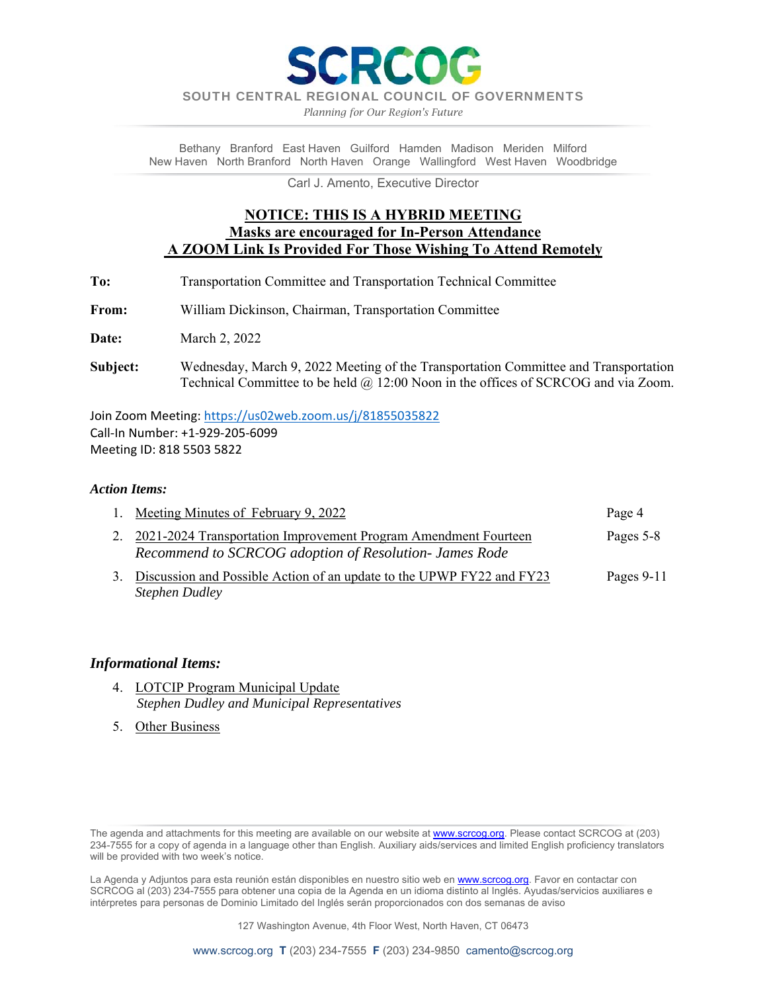SOUTH CENTRAL REGIONAL COUNCIL OF GOVERNMENTS

**RECOC** 

*Planning for Our Region's Future*

Bethany Branford East Haven Guilford Hamden Madison Meriden Milford New Haven North Branford North Haven Orange Wallingford West Haven Woodbridge

Carl J. Amento, Executive Director

## **NOTICE: THIS IS A HYBRID MEETING Masks are encouraged for In-Person Attendance A ZOOM Link Is Provided For Those Wishing To Attend Remotely**

- **To:** Transportation Committee and Transportation Technical Committee
- **From:** William Dickinson, Chairman, Transportation Committee

**Date:** March 2, 2022

**Subject:** Wednesday, March 9, 2022 Meeting of the Transportation Committee and Transportation Technical Committee to be held @ 12:00 Noon in the offices of SCRCOG and via Zoom.

Join Zoom Meeting: https://us02web.zoom.us/j/81855035822 Call‐In Number: +1‐929‐205‐6099 Meeting ID: 818 5503 5822

## *Action Items:*

| 1. Meeting Minutes of February 9, 2022                                                                                       | Page 4       |
|------------------------------------------------------------------------------------------------------------------------------|--------------|
| 2. 2021-2024 Transportation Improvement Program Amendment Fourteen<br>Recommend to SCRCOG adoption of Resolution- James Rode | Pages 5-8    |
| Discussion and Possible Action of an update to the UPWP FY22 and FY23<br><b>Stephen Dudley</b>                               | Pages $9-11$ |

## *Informational Items:*

- 4. LOTCIP Program Municipal Update  *Stephen Dudley and Municipal Representatives*
- 5. Other Business

La Agenda y Adjuntos para esta reunión están disponibles en nuestro sitio web en www.scrcog.org. Favor en contactar con SCRCOG al (203) 234-7555 para obtener una copia de la Agenda en un idioma distinto al Inglés. Ayudas/servicios auxiliares e intérpretes para personas de Dominio Limitado del Inglés serán proporcionados con dos semanas de aviso

127 Washington Avenue, 4th Floor West, North Haven, CT 06473

The agenda and attachments for this meeting are available on our website at www.scrcog.org. Please contact SCRCOG at (203) 234-7555 for a copy of agenda in a language other than English. Auxiliary aids/services and limited English proficiency translators will be provided with two week's notice.